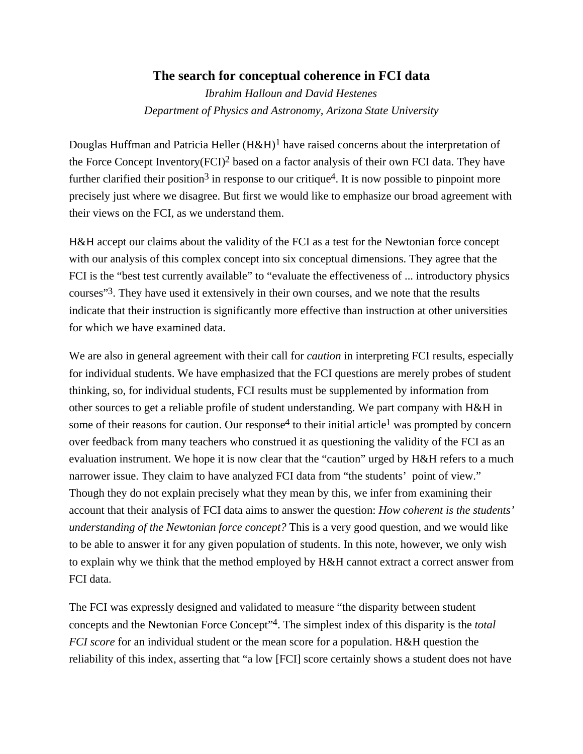## **The search for conceptual coherence in FCI data**

*Ibrahim Halloun and David Hestenes Department of Physics and Astronomy, Arizona State University*

Douglas Huffman and Patricia Heller  $(H \& H)^1$  have raised concerns about the interpretation of the Force Concept Inventory(FCI)2 based on a factor analysis of their own FCI data. They have further clarified their position<sup>3</sup> in response to our critique<sup>4</sup>. It is now possible to pinpoint more precisely just where we disagree. But first we would like to emphasize our broad agreement with their views on the FCI, as we understand them.

H&H accept our claims about the validity of the FCI as a test for the Newtonian force concept with our analysis of this complex concept into six conceptual dimensions. They agree that the FCI is the "best test currently available" to "evaluate the effectiveness of ... introductory physics courses"3. They have used it extensively in their own courses, and we note that the results indicate that their instruction is significantly more effective than instruction at other universities for which we have examined data.

We are also in general agreement with their call for *caution* in interpreting FCI results, especially for individual students. We have emphasized that the FCI questions are merely probes of student thinking, so, for individual students, FCI results must be supplemented by information from other sources to get a reliable profile of student understanding. We part company with H&H in some of their reasons for caution. Our response<sup>4</sup> to their initial article<sup>1</sup> was prompted by concern over feedback from many teachers who construed it as questioning the validity of the FCI as an evaluation instrument. We hope it is now clear that the "caution" urged by H&H refers to a much narrower issue. They claim to have analyzed FCI data from "the students' point of view." Though they do not explain precisely what they mean by this, we infer from examining their account that their analysis of FCI data aims to answer the question: *How coherent is the students' understanding of the Newtonian force concept?* This is a very good question, and we would like to be able to answer it for any given population of students. In this note, however, we only wish to explain why we think that the method employed by H&H cannot extract a correct answer from FCI data.

The FCI was expressly designed and validated to measure "the disparity between student concepts and the Newtonian Force Concept"4. The simplest index of this disparity is the *total FCI score* for an individual student or the mean score for a population. H&H question the reliability of this index, asserting that "a low [FCI] score certainly shows a student does not have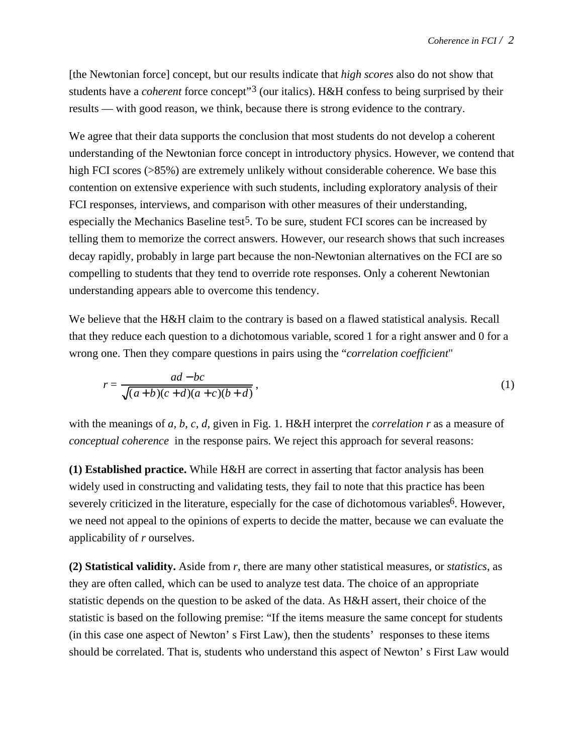[the Newtonian force] concept, but our results indicate that *high scores* also do not show that students have a *coherent* force concept"3 (our italics). H&H confess to being surprised by their results — with good reason, we think, because there is strong evidence to the contrary.

We agree that their data supports the conclusion that most students do not develop a coherent understanding of the Newtonian force concept in introductory physics. However, we contend that high FCI scores (>85%) are extremely unlikely without considerable coherence. We base this contention on extensive experience with such students, including exploratory analysis of their FCI responses, interviews, and comparison with other measures of their understanding, especially the Mechanics Baseline test<sup>5</sup>. To be sure, student FCI scores can be increased by telling them to memorize the correct answers. However, our research shows that such increases decay rapidly, probably in large part because the non-Newtonian alternatives on the FCI are so compelling to students that they tend to override rote responses. Only a coherent Newtonian understanding appears able to overcome this tendency.

We believe that the H&H claim to the contrary is based on a flawed statistical analysis. Recall that they reduce each question to a dichotomous variable, scored 1 for a right answer and 0 for a wrong one. Then they compare questions in pairs using the "*correlation coefficient*"

$$
r = \frac{ad - bc}{\sqrt{(a+b)(c+d)(a+c)(b+d)}},\tag{1}
$$

with the meanings of *a, b, c, d,* given in Fig. 1. H&H interpret the *correlation r* as a measure of *conceptual coherence* in the response pairs. We reject this approach for several reasons:

**(1) Established practice.** While H&H are correct in asserting that factor analysis has been widely used in constructing and validating tests, they fail to note that this practice has been severely criticized in the literature, especially for the case of dichotomous variables<sup>6</sup>. However, we need not appeal to the opinions of experts to decide the matter, because we can evaluate the applicability of *r* ourselves.

**(2) Statistical validity.** Aside from *r*, there are many other statistical measures, or *statistics*, as they are often called, which can be used to analyze test data. The choice of an appropriate statistic depends on the question to be asked of the data. As H&H assert, their choice of the statistic is based on the following premise: "If the items measure the same concept for students (in this case one aspect of Newton' s First Law), then the students' responses to these items should be correlated. That is, students who understand this aspect of Newton' s First Law would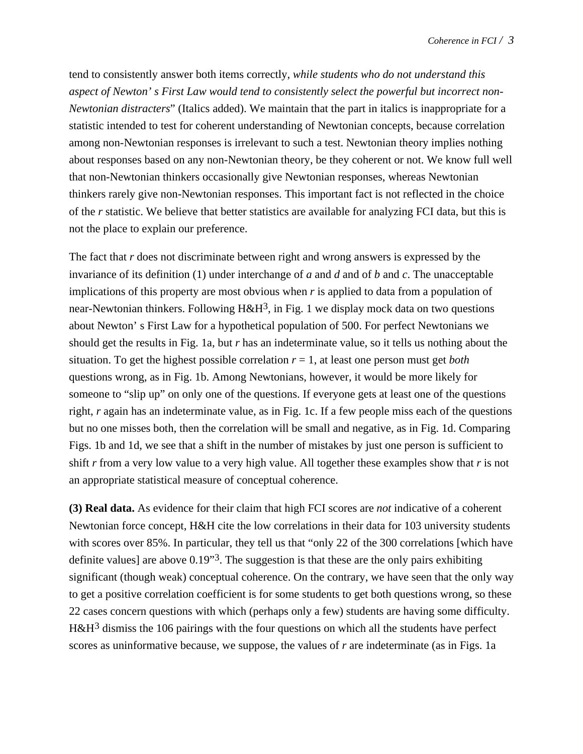tend to consistently answer both items correctly, *while students who do not understand this aspect of Newton' s First Law would tend to consistently select the powerful but incorrect non-Newtonian distracters*" (Italics added). We maintain that the part in italics is inappropriate for a statistic intended to test for coherent understanding of Newtonian concepts, because correlation among non-Newtonian responses is irrelevant to such a test. Newtonian theory implies nothing about responses based on any non-Newtonian theory, be they coherent or not. We know full well that non-Newtonian thinkers occasionally give Newtonian responses, whereas Newtonian thinkers rarely give non-Newtonian responses. This important fact is not reflected in the choice of the *r* statistic. We believe that better statistics are available for analyzing FCI data, but this is not the place to explain our preference.

The fact that *r* does not discriminate between right and wrong answers is expressed by the invariance of its definition (1) under interchange of *a* and *d* and of *b* and *c*. The unacceptable implications of this property are most obvious when *r* is applied to data from a population of near-Newtonian thinkers. Following  $H \& H^3$ , in Fig. 1 we display mock data on two questions about Newton' s First Law for a hypothetical population of 500. For perfect Newtonians we should get the results in Fig. 1a, but *r* has an indeterminate value, so it tells us nothing about the situation. To get the highest possible correlation *r* = 1, at least one person must get *both* questions wrong, as in Fig. 1b. Among Newtonians, however, it would be more likely for someone to "slip up" on only one of the questions. If everyone gets at least one of the questions right, *r* again has an indeterminate value, as in Fig. 1c. If a few people miss each of the questions but no one misses both, then the correlation will be small and negative, as in Fig. 1d. Comparing Figs. 1b and 1d, we see that a shift in the number of mistakes by just one person is sufficient to shift *r* from a very low value to a very high value. All together these examples show that *r* is not an appropriate statistical measure of conceptual coherence.

**(3) Real data.** As evidence for their claim that high FCI scores are *not* indicative of a coherent Newtonian force concept, H&H cite the low correlations in their data for 103 university students with scores over 85%. In particular, they tell us that "only 22 of the 300 correlations [which have definite values] are above 0.19"3. The suggestion is that these are the only pairs exhibiting significant (though weak) conceptual coherence. On the contrary, we have seen that the only way to get a positive correlation coefficient is for some students to get both questions wrong, so these 22 cases concern questions with which (perhaps only a few) students are having some difficulty. H&H3 dismiss the 106 pairings with the four questions on which all the students have perfect scores as uninformative because, we suppose, the values of *r* are indeterminate (as in Figs. 1a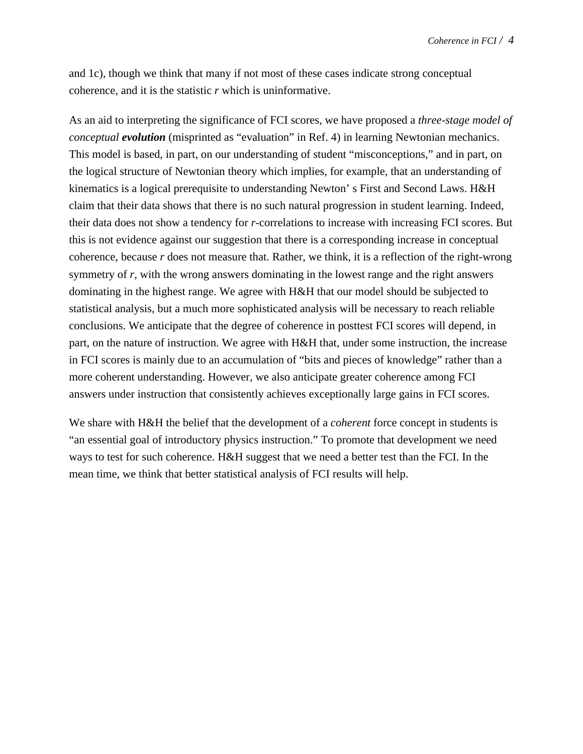and 1c), though we think that many if not most of these cases indicate strong conceptual coherence, and it is the statistic *r* which is uninformative.

As an aid to interpreting the significance of FCI scores, we have proposed a *three-stage model of conceptual evolution* (misprinted as "evaluation" in Ref. 4) in learning Newtonian mechanics. This model is based, in part, on our understanding of student "misconceptions," and in part, on the logical structure of Newtonian theory which implies, for example, that an understanding of kinematics is a logical prerequisite to understanding Newton' s First and Second Laws. H&H claim that their data shows that there is no such natural progression in student learning. Indeed, their data does not show a tendency for *r*-correlations to increase with increasing FCI scores. But this is not evidence against our suggestion that there is a corresponding increase in conceptual coherence, because *r* does not measure that. Rather, we think, it is a reflection of the right-wrong symmetry of *r*, with the wrong answers dominating in the lowest range and the right answers dominating in the highest range. We agree with H&H that our model should be subjected to statistical analysis, but a much more sophisticated analysis will be necessary to reach reliable conclusions. We anticipate that the degree of coherence in posttest FCI scores will depend, in part, on the nature of instruction. We agree with H&H that, under some instruction, the increase in FCI scores is mainly due to an accumulation of "bits and pieces of knowledge" rather than a more coherent understanding. However, we also anticipate greater coherence among FCI answers under instruction that consistently achieves exceptionally large gains in FCI scores.

We share with H&H the belief that the development of a *coherent* force concept in students is "an essential goal of introductory physics instruction." To promote that development we need ways to test for such coherence. H&H suggest that we need a better test than the FCI. In the mean time, we think that better statistical analysis of FCI results will help.